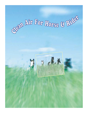# Sean Air For Horse & Rids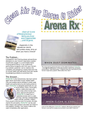

clean air is one of those precious items you truly won't appreciate ...until its gone*.* 

*...Especially in the equestrian world, who prefers dusty, dirty air when you have a choice?*

### The Problem...

Competition and training places extraordinary demands on your horse's respiratory system. Insufficient oxygen is a controllable factor limiting performance. It can undermine performance longevity and limit your horse's true athletic potential, not to mention the unhealthy and dangerous impact that dust has on human health and well-being. Dust also causes housekeeping problems & consumes time.

### The Answer...

Arena Rx® is the revolutionary new dust control agent which eliminates human related health risks and enables equine athletes to attain peak health and performance by eliminating airborne dust. Arena Rx® is designed specifically for use



in horse arenas, tracks, round pens, walkers, stable aisle ways and other areas where horses train, work, exercise and perform. Arena Rx® is made from a patented process and is a safe, colorless, odorless, biodegradable, highly refined, synthetic, organic

fluid, proven to be non-toxic to humans, animals, marine life and plants. Arena Rx® can be used both indoors and outdoors and does not freeze in cold weather climates. Your arena is able to be used immediately after application.



The most obvious demonstration of the effectiveness of Arena Rx® ...is to **SEE** the difference. In the above photo, notice the untreated arena where "Dust Dominates". Imagine what this dust does to your horse's respiratory system. What about the rider?



Look at the difference Arena Rx<sup>®</sup> makes!! Would you expose your horse or yourself to a dusty environment if you didn't have to?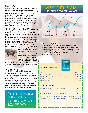### How It Works...

Arena Rx® coats and loads every individual footing particle through a process of adsorption and absorption. The net result is footing that doesn't stick together, compact and form "globs". The initial application is designed to penetrate and treat all footing material. Subsequent light maintenance applications are required when the footing begins to break down or if new material is added. Because Arena Rx® has an accumulative effect on arena footing materials, it's easy to maintain control levels with the light maintenance applications.

### The Health & Performance Factors...

Athletic performance places extra demands on your horse's respiratory system. Insufficient amounts of oxygen may be the most important factor limiting equine performance. Also, heavy burdens of dust can decrease the ability of cells to fight infectious agents such as bacteria by overloading the lung's primary defense mechanisms. A horse in a dusty environment will therefore be more prone to respiratory caused performance problems and infection than a horse in a cleaner environment. Proactively controlling dust to



maintain peak performance and health is a priority today in both equine and human medicine.

Watering, the most common dust control method, provides only temporary control and worse, it works to create dust. Watering also needs to be done continually

in order to keep arena dust under control. Whenever the footing dries out, the dust typically is worse than it was originally.

### A Clean Air Policy...

A pro-active approach to airborne dust addresses immediate health issues to you, your client's, boarder's, everyone's horses, and your neighbors. It is increasingly difficult to overlook what it must be like when a continual wall of dust invades a neighbor's home. Arena Rx® produces a healthier, cleaner, safer environment all around. A "good neighbor" health policy goes a long way towards keeping clients, boarders and neighbors happy.

Clean air is essential to the health & performance of you And your horse

# AIR QUALITY IS VITAL TO HEALTH & PEAK PERFORMANCE



### What's It Worth To You?...

Horses require 3000% more oxygen while training and competing than while at rest. When you compare the cost, there's no question Arena Rx® is far more cost efficient in the long run. By being pro-active, your horse will maintain his health and enjoy peak performance as well. Just how valuable is a dust free arena to you?

### Physical Properties:

| the control of the control of the con- |
|----------------------------------------|
|                                        |
|                                        |
|                                        |
|                                        |
|                                        |

### E.P.A. Test Results:

|  |  |  |  |  | EPA/TSCA 40 CFR 178.1175 (Acute Oral Toxicity)  Non-Toxic               |
|--|--|--|--|--|-------------------------------------------------------------------------|
|  |  |  |  |  | EPA/TSCA 40 CFR 178.1100 (Acute Dermal Toxicity)  Non-Toxic             |
|  |  |  |  |  | EPA/TSCA 40 CFR 178.1150 (Acute Inhalation Toxicity)  Non-Toxic         |
|  |  |  |  |  | EPA/TSCA 40 CFR 178.4470 (Acute Dermal Irritation)  Not A Skin Irritant |
|  |  |  |  |  | EPA/TSCA 40 CFR 178.4500 (Acute Eye Irritation)  Not An Eye Irritant    |